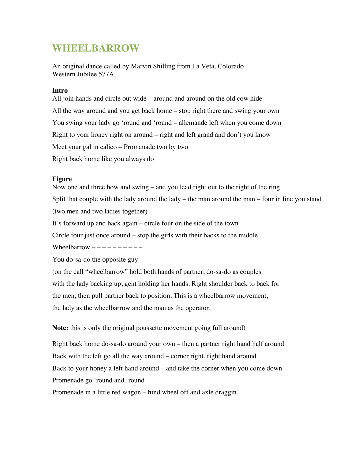# **WHEELBARROW**

An original dance called by Marvin Shilling from La Veta, Colorado Western Jubilee 577A

### **Intro**

All join hands and circle out wide – around and around on the old cow hide All the way around and you get back home – stop right there and swing your own You swing your lady go 'round and 'round – allemande left when you come down Right to your honey right on around – right and left grand and don't you know Meet your gal in calico – Promenade two by two Right back home like you always do

## **Figure**

Now one and three bow and swing – and you lead right out to the right of the ring Split that couple with the lady around the lady – the man around the man – four in line you stand (two men and two ladies together)

It's forward up and back again – circle four on the side of the town

Circle four just once around – stop the girls with their backs to the middle

Wheelbarrow  $------$ 

You do-sa-do the opposite guy

(on the call "wheelbarrow" hold both hands of partner, do-sa-do as couples with the lady backing up, gent holding her hands. Right shoulder back to back for the men, then pull partner back to position. This is a wheelbarrow movement, the lady as the wheelbarrow and the man as the operator.

**Note:** this is only the original poussette movement going full around)

Right back home do-sa-do around your own – then a partner right hand half around Back with the left go all the way around – corner right, right hand around Back to your honey a left hand around – and take the corner when you come down Promenade go 'round and 'round Promenade in a little red wagon – hind wheel off and axle draggin'